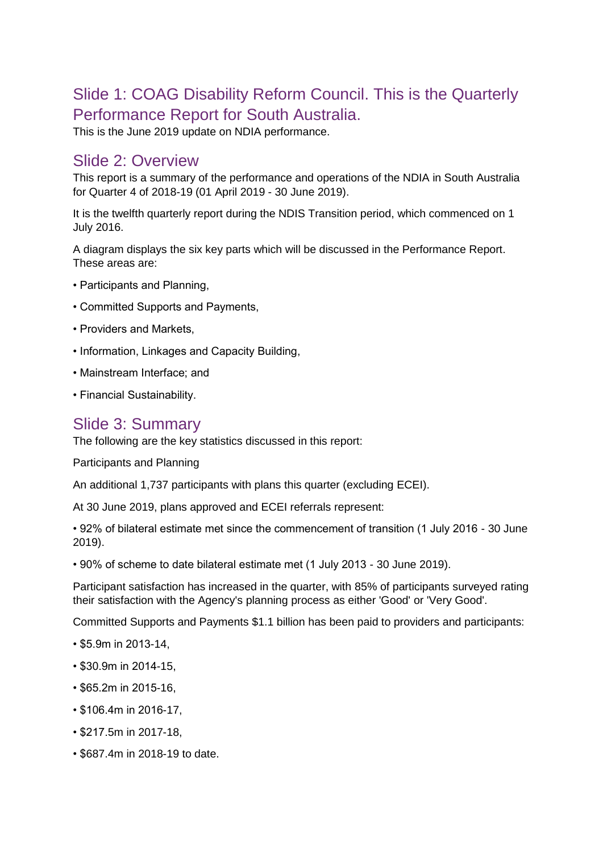# Slide 1: COAG Disability Reform Council. This is the Quarterly Performance Report for South Australia.

This is the June 2019 update on NDIA performance.

#### Slide 2: Overview

This report is a summary of the performance and operations of the NDIA in South Australia for Quarter 4 of 2018-19 (01 April 2019 - 30 June 2019).

It is the twelfth quarterly report during the NDIS Transition period, which commenced on 1 July 2016.

A diagram displays the six key parts which will be discussed in the Performance Report. These areas are:

- Participants and Planning,
- Committed Supports and Payments,
- Providers and Markets,
- Information, Linkages and Capacity Building,
- Mainstream Interface; and
- Financial Sustainability.

#### Slide 3: Summary

The following are the key statistics discussed in this report:

Participants and Planning

An additional 1,737 participants with plans this quarter (excluding ECEI).

At 30 June 2019, plans approved and ECEI referrals represent:

• 92% of bilateral estimate met since the commencement of transition (1 July 2016 - 30 June 2019).

• 90% of scheme to date bilateral estimate met (1 July 2013 - 30 June 2019).

Participant satisfaction has increased in the quarter, with 85% of participants surveyed rating their satisfaction with the Agency's planning process as either 'Good' or 'Very Good'.

Committed Supports and Payments \$1.1 billion has been paid to providers and participants:

- \$5.9m in 2013-14,
- \$30.9m in 2014-15,
- \$65.2m in 2015-16,
- \$106.4m in 2016-17,
- \$217.5m in 2017-18,
- \$687.4m in 2018-19 to date.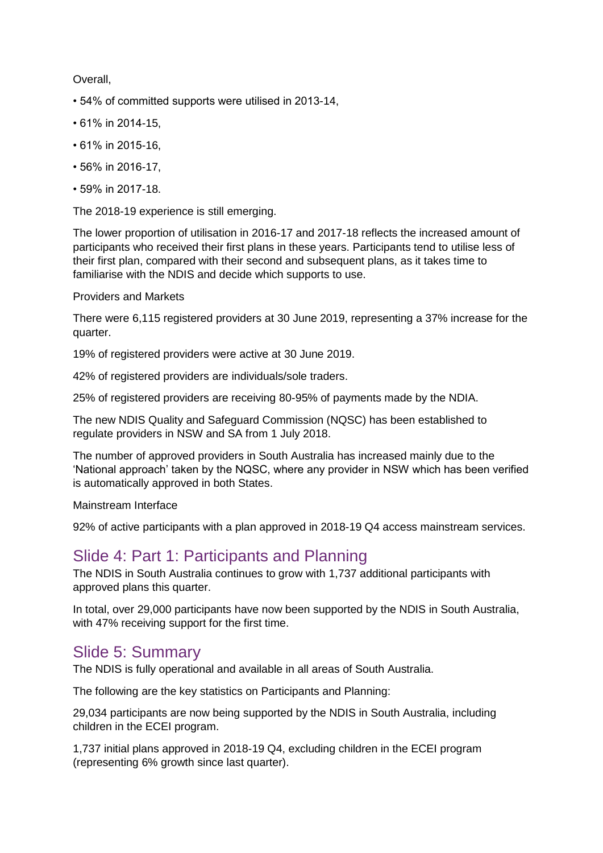Overall,

- 54% of committed supports were utilised in 2013-14,
- 61% in 2014-15,
- 61% in 2015-16,
- 56% in 2016-17,
- 59% in 2017-18.

The 2018-19 experience is still emerging.

The lower proportion of utilisation in 2016-17 and 2017-18 reflects the increased amount of participants who received their first plans in these years. Participants tend to utilise less of their first plan, compared with their second and subsequent plans, as it takes time to familiarise with the NDIS and decide which supports to use.

#### Providers and Markets

There were 6,115 registered providers at 30 June 2019, representing a 37% increase for the quarter.

19% of registered providers were active at 30 June 2019.

42% of registered providers are individuals/sole traders.

25% of registered providers are receiving 80-95% of payments made by the NDIA.

The new NDIS Quality and Safeguard Commission (NQSC) has been established to regulate providers in NSW and SA from 1 July 2018.

The number of approved providers in South Australia has increased mainly due to the 'National approach' taken by the NQSC, where any provider in NSW which has been verified is automatically approved in both States.

Mainstream Interface

92% of active participants with a plan approved in 2018-19 Q4 access mainstream services.

## Slide 4: Part 1: Participants and Planning

The NDIS in South Australia continues to grow with 1,737 additional participants with approved plans this quarter.

In total, over 29,000 participants have now been supported by the NDIS in South Australia, with 47% receiving support for the first time.

#### Slide 5: Summary

The NDIS is fully operational and available in all areas of South Australia.

The following are the key statistics on Participants and Planning:

29,034 participants are now being supported by the NDIS in South Australia, including children in the ECEI program.

1,737 initial plans approved in 2018-19 Q4, excluding children in the ECEI program (representing 6% growth since last quarter).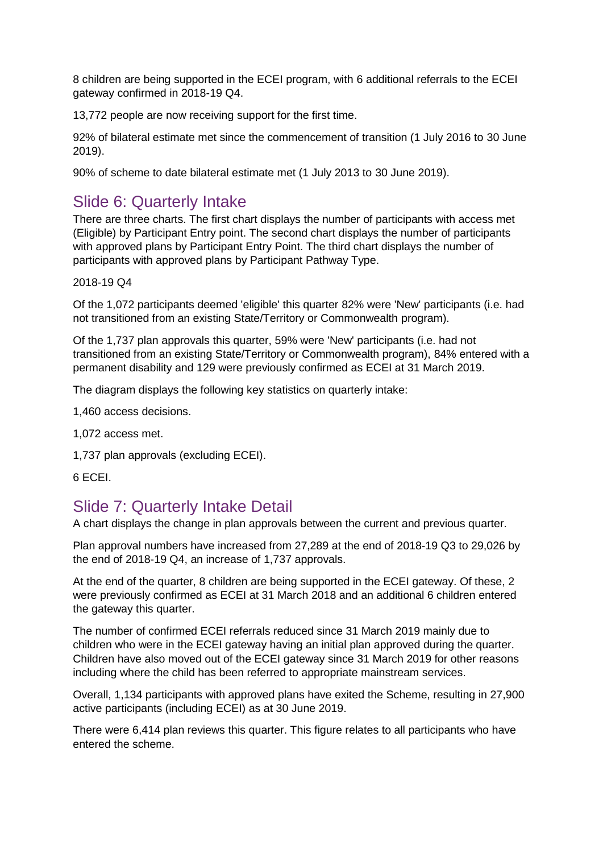8 children are being supported in the ECEI program, with 6 additional referrals to the ECEI gateway confirmed in 2018-19 Q4.

13,772 people are now receiving support for the first time.

92% of bilateral estimate met since the commencement of transition (1 July 2016 to 30 June 2019).

90% of scheme to date bilateral estimate met (1 July 2013 to 30 June 2019).

## Slide 6: Quarterly Intake

There are three charts. The first chart displays the number of participants with access met (Eligible) by Participant Entry point. The second chart displays the number of participants with approved plans by Participant Entry Point. The third chart displays the number of participants with approved plans by Participant Pathway Type.

#### 2018-19 Q4

Of the 1,072 participants deemed 'eligible' this quarter 82% were 'New' participants (i.e. had not transitioned from an existing State/Territory or Commonwealth program).

Of the 1,737 plan approvals this quarter, 59% were 'New' participants (i.e. had not transitioned from an existing State/Territory or Commonwealth program), 84% entered with a permanent disability and 129 were previously confirmed as ECEI at 31 March 2019.

The diagram displays the following key statistics on quarterly intake:

1,460 access decisions.

- 1,072 access met.
- 1,737 plan approvals (excluding ECEI).
- 6 ECEI.

## Slide 7: Quarterly Intake Detail

A chart displays the change in plan approvals between the current and previous quarter.

Plan approval numbers have increased from 27,289 at the end of 2018-19 Q3 to 29,026 by the end of 2018-19 Q4, an increase of 1,737 approvals.

At the end of the quarter, 8 children are being supported in the ECEI gateway. Of these, 2 were previously confirmed as ECEI at 31 March 2018 and an additional 6 children entered the gateway this quarter.

The number of confirmed ECEI referrals reduced since 31 March 2019 mainly due to children who were in the ECEI gateway having an initial plan approved during the quarter. Children have also moved out of the ECEI gateway since 31 March 2019 for other reasons including where the child has been referred to appropriate mainstream services.

Overall, 1,134 participants with approved plans have exited the Scheme, resulting in 27,900 active participants (including ECEI) as at 30 June 2019.

There were 6,414 plan reviews this quarter. This figure relates to all participants who have entered the scheme.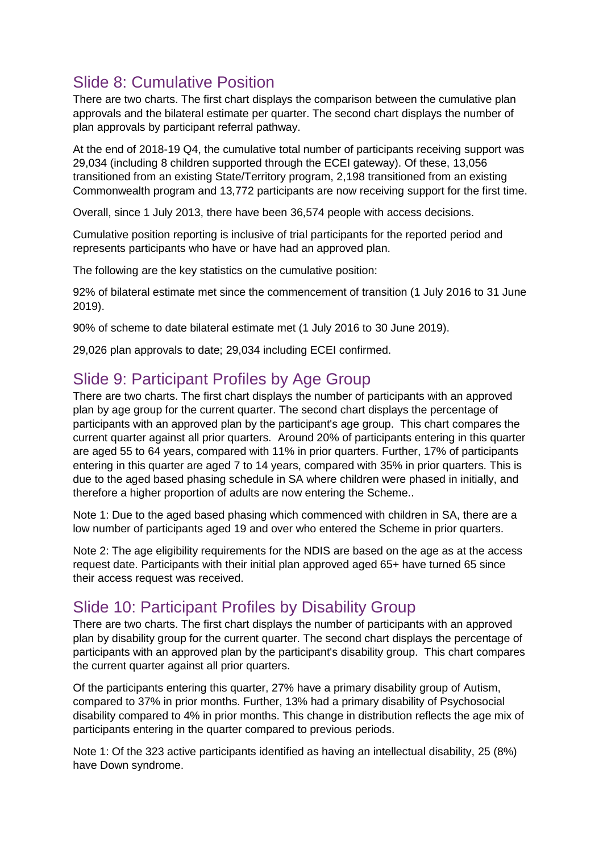# Slide 8: Cumulative Position

There are two charts. The first chart displays the comparison between the cumulative plan approvals and the bilateral estimate per quarter. The second chart displays the number of plan approvals by participant referral pathway.

At the end of 2018-19 Q4, the cumulative total number of participants receiving support was 29,034 (including 8 children supported through the ECEI gateway). Of these, 13,056 transitioned from an existing State/Territory program, 2,198 transitioned from an existing Commonwealth program and 13,772 participants are now receiving support for the first time.

Overall, since 1 July 2013, there have been 36,574 people with access decisions.

Cumulative position reporting is inclusive of trial participants for the reported period and represents participants who have or have had an approved plan.

The following are the key statistics on the cumulative position:

92% of bilateral estimate met since the commencement of transition (1 July 2016 to 31 June 2019).

90% of scheme to date bilateral estimate met (1 July 2016 to 30 June 2019).

29,026 plan approvals to date; 29,034 including ECEI confirmed.

## Slide 9: Participant Profiles by Age Group

There are two charts. The first chart displays the number of participants with an approved plan by age group for the current quarter. The second chart displays the percentage of participants with an approved plan by the participant's age group. This chart compares the current quarter against all prior quarters. Around 20% of participants entering in this quarter are aged 55 to 64 years, compared with 11% in prior quarters. Further, 17% of participants entering in this quarter are aged 7 to 14 years, compared with 35% in prior quarters. This is due to the aged based phasing schedule in SA where children were phased in initially, and therefore a higher proportion of adults are now entering the Scheme..

Note 1: Due to the aged based phasing which commenced with children in SA, there are a low number of participants aged 19 and over who entered the Scheme in prior quarters.

Note 2: The age eligibility requirements for the NDIS are based on the age as at the access request date. Participants with their initial plan approved aged 65+ have turned 65 since their access request was received.

## Slide 10: Participant Profiles by Disability Group

There are two charts. The first chart displays the number of participants with an approved plan by disability group for the current quarter. The second chart displays the percentage of participants with an approved plan by the participant's disability group. This chart compares the current quarter against all prior quarters.

Of the participants entering this quarter, 27% have a primary disability group of Autism, compared to 37% in prior months. Further, 13% had a primary disability of Psychosocial disability compared to 4% in prior months. This change in distribution reflects the age mix of participants entering in the quarter compared to previous periods.

Note 1: Of the 323 active participants identified as having an intellectual disability, 25 (8%) have Down syndrome.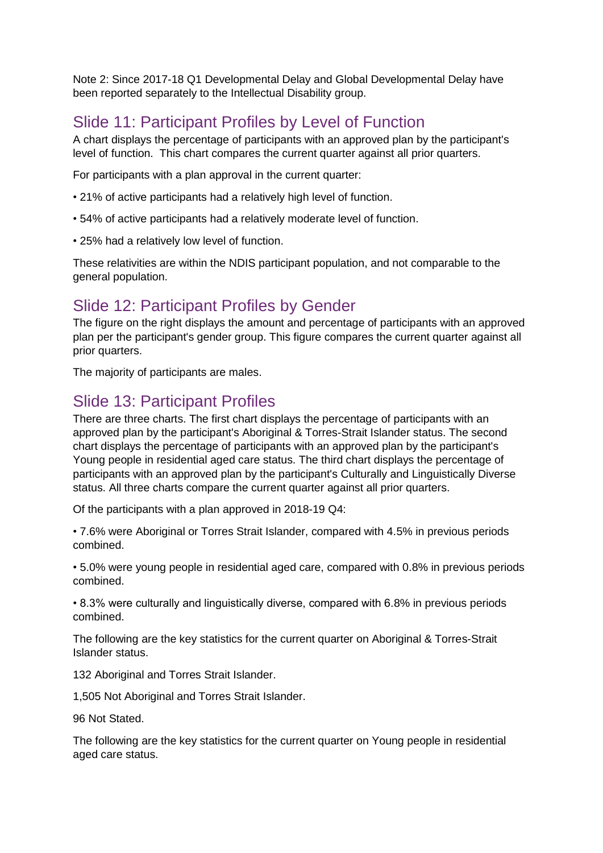Note 2: Since 2017-18 Q1 Developmental Delay and Global Developmental Delay have been reported separately to the Intellectual Disability group.

# Slide 11: Participant Profiles by Level of Function

A chart displays the percentage of participants with an approved plan by the participant's level of function. This chart compares the current quarter against all prior quarters.

For participants with a plan approval in the current quarter:

- 21% of active participants had a relatively high level of function.
- 54% of active participants had a relatively moderate level of function.
- 25% had a relatively low level of function.

These relativities are within the NDIS participant population, and not comparable to the general population.

## Slide 12: Participant Profiles by Gender

The figure on the right displays the amount and percentage of participants with an approved plan per the participant's gender group. This figure compares the current quarter against all prior quarters.

The majority of participants are males.

### Slide 13: Participant Profiles

There are three charts. The first chart displays the percentage of participants with an approved plan by the participant's Aboriginal & Torres-Strait Islander status. The second chart displays the percentage of participants with an approved plan by the participant's Young people in residential aged care status. The third chart displays the percentage of participants with an approved plan by the participant's Culturally and Linguistically Diverse status. All three charts compare the current quarter against all prior quarters.

Of the participants with a plan approved in 2018-19 Q4:

• 7.6% were Aboriginal or Torres Strait Islander, compared with 4.5% in previous periods combined.

• 5.0% were young people in residential aged care, compared with 0.8% in previous periods combined.

• 8.3% were culturally and linguistically diverse, compared with 6.8% in previous periods combined.

The following are the key statistics for the current quarter on Aboriginal & Torres-Strait Islander status.

132 Aboriginal and Torres Strait Islander.

1,505 Not Aboriginal and Torres Strait Islander.

96 Not Stated.

The following are the key statistics for the current quarter on Young people in residential aged care status.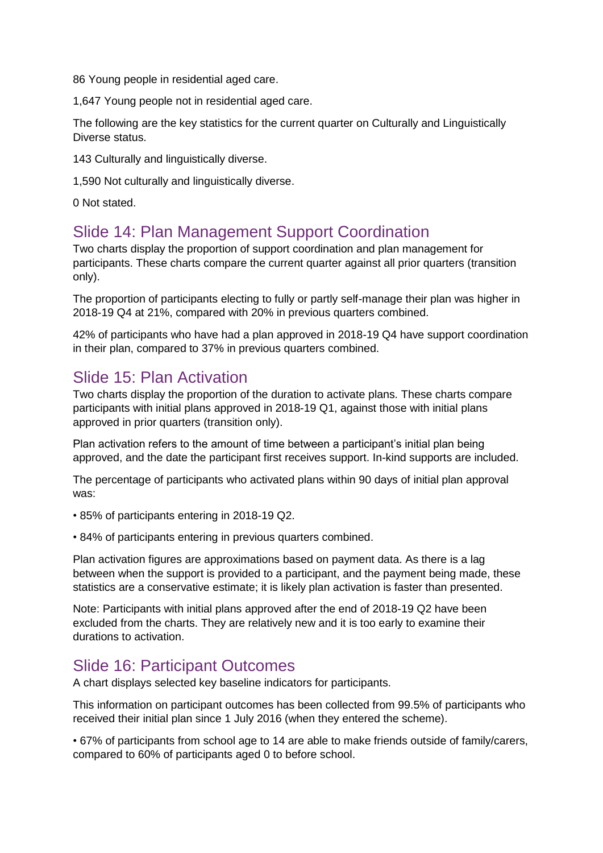86 Young people in residential aged care.

1,647 Young people not in residential aged care.

The following are the key statistics for the current quarter on Culturally and Linguistically Diverse status.

143 Culturally and linguistically diverse.

1,590 Not culturally and linguistically diverse.

0 Not stated.

#### Slide 14: Plan Management Support Coordination

Two charts display the proportion of support coordination and plan management for participants. These charts compare the current quarter against all prior quarters (transition only).

The proportion of participants electing to fully or partly self-manage their plan was higher in 2018-19 Q4 at 21%, compared with 20% in previous quarters combined.

42% of participants who have had a plan approved in 2018-19 Q4 have support coordination in their plan, compared to 37% in previous quarters combined.

#### Slide 15: Plan Activation

Two charts display the proportion of the duration to activate plans. These charts compare participants with initial plans approved in 2018-19 Q1, against those with initial plans approved in prior quarters (transition only).

Plan activation refers to the amount of time between a participant's initial plan being approved, and the date the participant first receives support. In-kind supports are included.

The percentage of participants who activated plans within 90 days of initial plan approval was:

- 85% of participants entering in 2018-19 Q2.
- 84% of participants entering in previous quarters combined.

Plan activation figures are approximations based on payment data. As there is a lag between when the support is provided to a participant, and the payment being made, these statistics are a conservative estimate; it is likely plan activation is faster than presented.

Note: Participants with initial plans approved after the end of 2018-19 Q2 have been excluded from the charts. They are relatively new and it is too early to examine their durations to activation.

#### Slide 16: Participant Outcomes

A chart displays selected key baseline indicators for participants.

This information on participant outcomes has been collected from 99.5% of participants who received their initial plan since 1 July 2016 (when they entered the scheme).

• 67% of participants from school age to 14 are able to make friends outside of family/carers, compared to 60% of participants aged 0 to before school.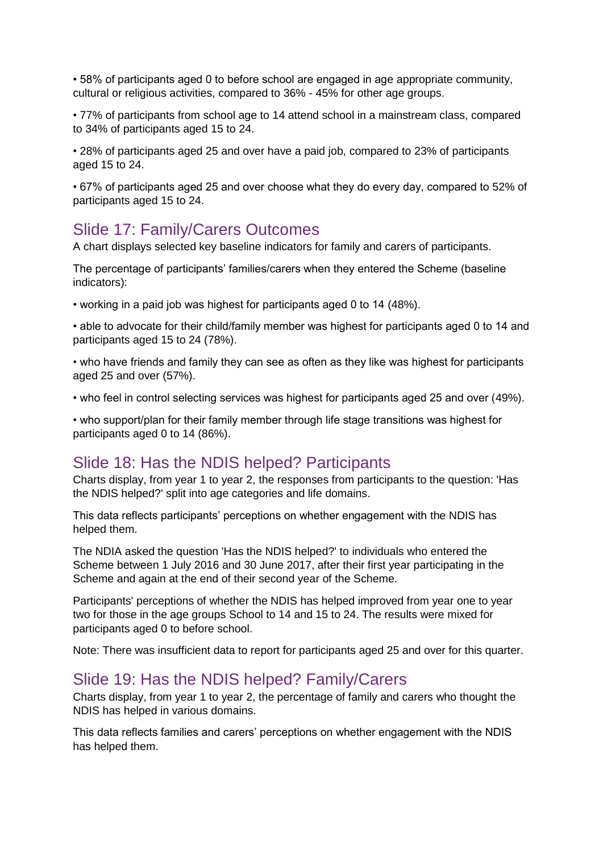• 58% of participants aged 0 to before school are engaged in age appropriate community, cultural or religious activities, compared to 36% - 45% for other age groups.

• 77% of participants from school age to 14 attend school in a mainstream class, compared to 34% of participants aged 15 to 24.

• 28% of participants aged 25 and over have a paid job, compared to 23% of participants aged 15 to 24.

• 67% of participants aged 25 and over choose what they do every day, compared to 52% of participants aged 15 to 24.

#### Slide 17: Family/Carers Outcomes

A chart displays selected key baseline indicators for family and carers of participants.

The percentage of participants' families/carers when they entered the Scheme (baseline indicators):

• working in a paid job was highest for participants aged 0 to 14 (48%).

• able to advocate for their child/family member was highest for participants aged 0 to 14 and participants aged 15 to 24 (78%).

• who have friends and family they can see as often as they like was highest for participants aged 25 and over (57%).

• who feel in control selecting services was highest for participants aged 25 and over (49%).

• who support/plan for their family member through life stage transitions was highest for participants aged 0 to 14 (86%).

#### Slide 18: Has the NDIS helped? Participants

Charts display, from year 1 to year 2, the responses from participants to the question: 'Has the NDIS helped?' split into age categories and life domains.

This data reflects participants' perceptions on whether engagement with the NDIS has helped them.

The NDIA asked the question 'Has the NDIS helped?' to individuals who entered the Scheme between 1 July 2016 and 30 June 2017, after their first year participating in the Scheme and again at the end of their second year of the Scheme.

Participants' perceptions of whether the NDIS has helped improved from year one to year two for those in the age groups School to 14 and 15 to 24. The results were mixed for participants aged 0 to before school.

Note: There was insufficient data to report for participants aged 25 and over for this quarter.

#### Slide 19: Has the NDIS helped? Family/Carers

Charts display, from year 1 to year 2, the percentage of family and carers who thought the NDIS has helped in various domains.

This data reflects families and carers' perceptions on whether engagement with the NDIS has helped them.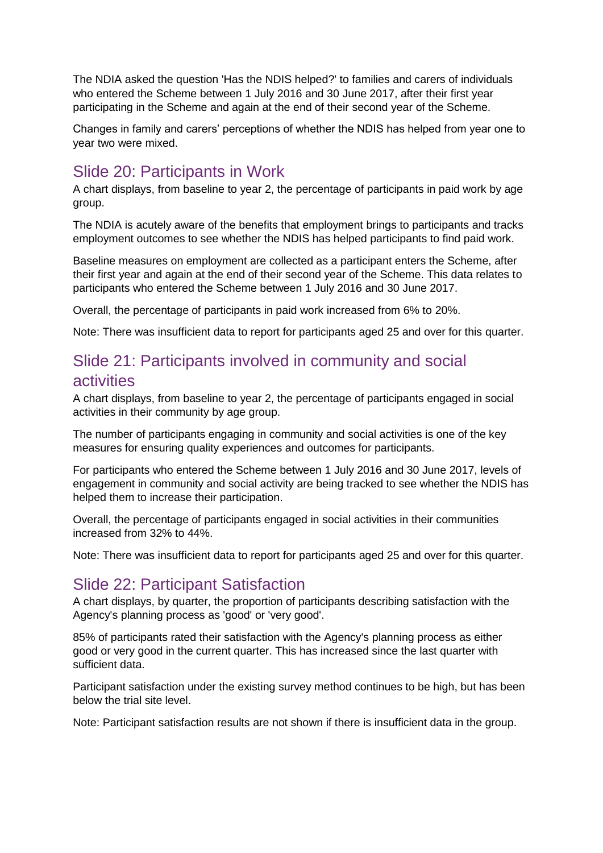The NDIA asked the question 'Has the NDIS helped?' to families and carers of individuals who entered the Scheme between 1 July 2016 and 30 June 2017, after their first year participating in the Scheme and again at the end of their second year of the Scheme.

Changes in family and carers' perceptions of whether the NDIS has helped from year one to year two were mixed.

# Slide 20: Participants in Work

A chart displays, from baseline to year 2, the percentage of participants in paid work by age group.

The NDIA is acutely aware of the benefits that employment brings to participants and tracks employment outcomes to see whether the NDIS has helped participants to find paid work.

Baseline measures on employment are collected as a participant enters the Scheme, after their first year and again at the end of their second year of the Scheme. This data relates to participants who entered the Scheme between 1 July 2016 and 30 June 2017.

Overall, the percentage of participants in paid work increased from 6% to 20%.

Note: There was insufficient data to report for participants aged 25 and over for this quarter.

# Slide 21: Participants involved in community and social activities

A chart displays, from baseline to year 2, the percentage of participants engaged in social activities in their community by age group.

The number of participants engaging in community and social activities is one of the key measures for ensuring quality experiences and outcomes for participants.

For participants who entered the Scheme between 1 July 2016 and 30 June 2017, levels of engagement in community and social activity are being tracked to see whether the NDIS has helped them to increase their participation.

Overall, the percentage of participants engaged in social activities in their communities increased from 32% to 44%.

Note: There was insufficient data to report for participants aged 25 and over for this quarter.

## Slide 22: Participant Satisfaction

A chart displays, by quarter, the proportion of participants describing satisfaction with the Agency's planning process as 'good' or 'very good'.

85% of participants rated their satisfaction with the Agency's planning process as either good or very good in the current quarter. This has increased since the last quarter with sufficient data.

Participant satisfaction under the existing survey method continues to be high, but has been below the trial site level.

Note: Participant satisfaction results are not shown if there is insufficient data in the group.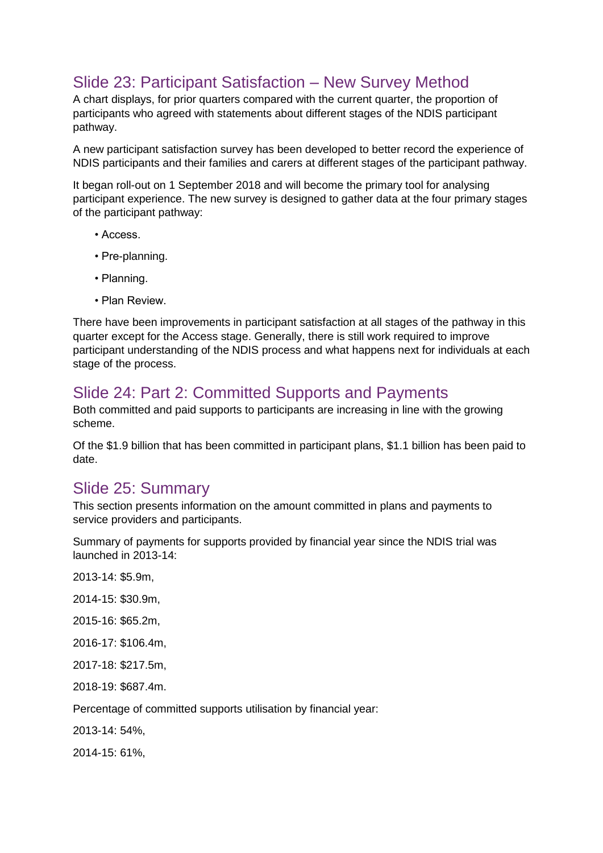# Slide 23: Participant Satisfaction – New Survey Method

A chart displays, for prior quarters compared with the current quarter, the proportion of participants who agreed with statements about different stages of the NDIS participant pathway.

A new participant satisfaction survey has been developed to better record the experience of NDIS participants and their families and carers at different stages of the participant pathway.

It began roll-out on 1 September 2018 and will become the primary tool for analysing participant experience. The new survey is designed to gather data at the four primary stages of the participant pathway:

- Access.
- Pre-planning.
- Planning.
- Plan Review.

There have been improvements in participant satisfaction at all stages of the pathway in this quarter except for the Access stage. Generally, there is still work required to improve participant understanding of the NDIS process and what happens next for individuals at each stage of the process.

#### Slide 24: Part 2: Committed Supports and Payments

Both committed and paid supports to participants are increasing in line with the growing scheme.

Of the \$1.9 billion that has been committed in participant plans, \$1.1 billion has been paid to date.

#### Slide 25: Summary

This section presents information on the amount committed in plans and payments to service providers and participants.

Summary of payments for supports provided by financial year since the NDIS trial was launched in 2013-14:

2013-14: \$5.9m,

2014-15: \$30.9m,

2015-16: \$65.2m,

2016-17: \$106.4m,

2017-18: \$217.5m,

2018-19: \$687.4m.

Percentage of committed supports utilisation by financial year:

2013-14: 54%,

2014-15: 61%,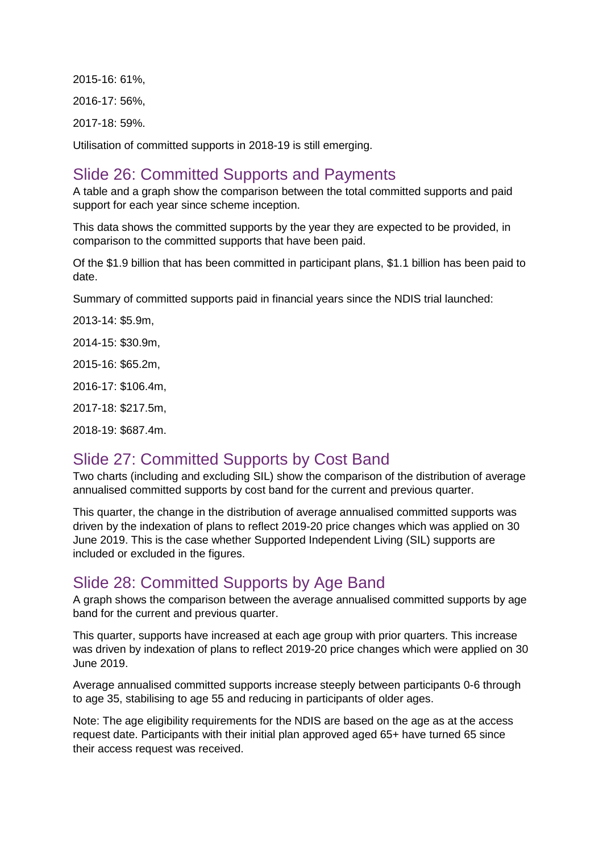2015-16: 61%, 2016-17: 56%, 2017-18: 59%.

Utilisation of committed supports in 2018-19 is still emerging.

## Slide 26: Committed Supports and Payments

A table and a graph show the comparison between the total committed supports and paid support for each year since scheme inception.

This data shows the committed supports by the year they are expected to be provided, in comparison to the committed supports that have been paid.

Of the \$1.9 billion that has been committed in participant plans, \$1.1 billion has been paid to date.

Summary of committed supports paid in financial years since the NDIS trial launched:

2013-14: \$5.9m,

2014-15: \$30.9m,

2015-16: \$65.2m,

2016-17: \$106.4m,

2017-18: \$217.5m,

2018-19: \$687.4m.

## Slide 27: Committed Supports by Cost Band

Two charts (including and excluding SIL) show the comparison of the distribution of average annualised committed supports by cost band for the current and previous quarter.

This quarter, the change in the distribution of average annualised committed supports was driven by the indexation of plans to reflect 2019-20 price changes which was applied on 30 June 2019. This is the case whether Supported Independent Living (SIL) supports are included or excluded in the figures.

## Slide 28: Committed Supports by Age Band

A graph shows the comparison between the average annualised committed supports by age band for the current and previous quarter.

This quarter, supports have increased at each age group with prior quarters. This increase was driven by indexation of plans to reflect 2019-20 price changes which were applied on 30 June 2019.

Average annualised committed supports increase steeply between participants 0-6 through to age 35, stabilising to age 55 and reducing in participants of older ages.

Note: The age eligibility requirements for the NDIS are based on the age as at the access request date. Participants with their initial plan approved aged 65+ have turned 65 since their access request was received.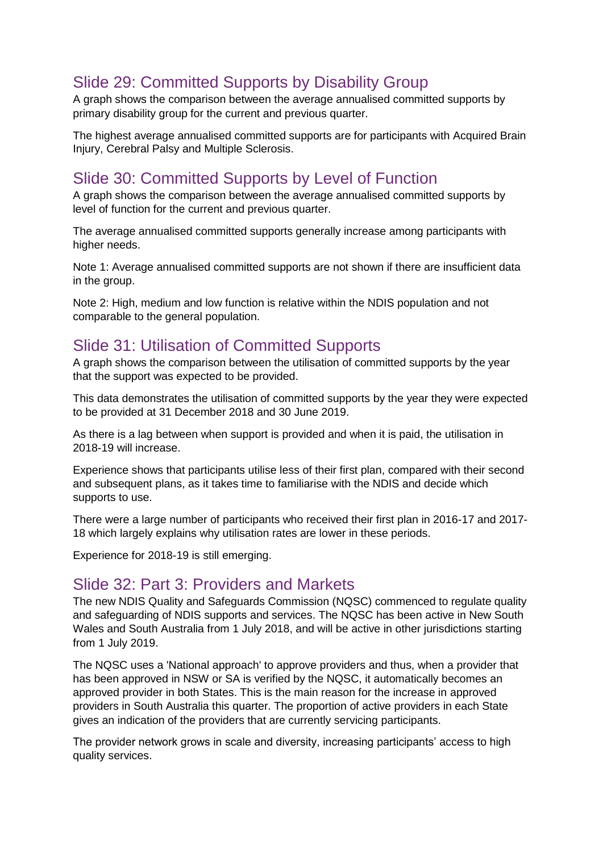# Slide 29: Committed Supports by Disability Group

A graph shows the comparison between the average annualised committed supports by primary disability group for the current and previous quarter.

The highest average annualised committed supports are for participants with Acquired Brain Injury, Cerebral Palsy and Multiple Sclerosis.

## Slide 30: Committed Supports by Level of Function

A graph shows the comparison between the average annualised committed supports by level of function for the current and previous quarter.

The average annualised committed supports generally increase among participants with higher needs.

Note 1: Average annualised committed supports are not shown if there are insufficient data in the group.

Note 2: High, medium and low function is relative within the NDIS population and not comparable to the general population.

## Slide 31: Utilisation of Committed Supports

A graph shows the comparison between the utilisation of committed supports by the year that the support was expected to be provided.

This data demonstrates the utilisation of committed supports by the year they were expected to be provided at 31 December 2018 and 30 June 2019.

As there is a lag between when support is provided and when it is paid, the utilisation in 2018-19 will increase.

Experience shows that participants utilise less of their first plan, compared with their second and subsequent plans, as it takes time to familiarise with the NDIS and decide which supports to use.

There were a large number of participants who received their first plan in 2016-17 and 2017- 18 which largely explains why utilisation rates are lower in these periods.

Experience for 2018-19 is still emerging.

#### Slide 32: Part 3: Providers and Markets

The new NDIS Quality and Safeguards Commission (NQSC) commenced to regulate quality and safeguarding of NDIS supports and services. The NQSC has been active in New South Wales and South Australia from 1 July 2018, and will be active in other jurisdictions starting from 1 July 2019.

The NQSC uses a 'National approach' to approve providers and thus, when a provider that has been approved in NSW or SA is verified by the NQSC, it automatically becomes an approved provider in both States. This is the main reason for the increase in approved providers in South Australia this quarter. The proportion of active providers in each State gives an indication of the providers that are currently servicing participants.

The provider network grows in scale and diversity, increasing participants' access to high quality services.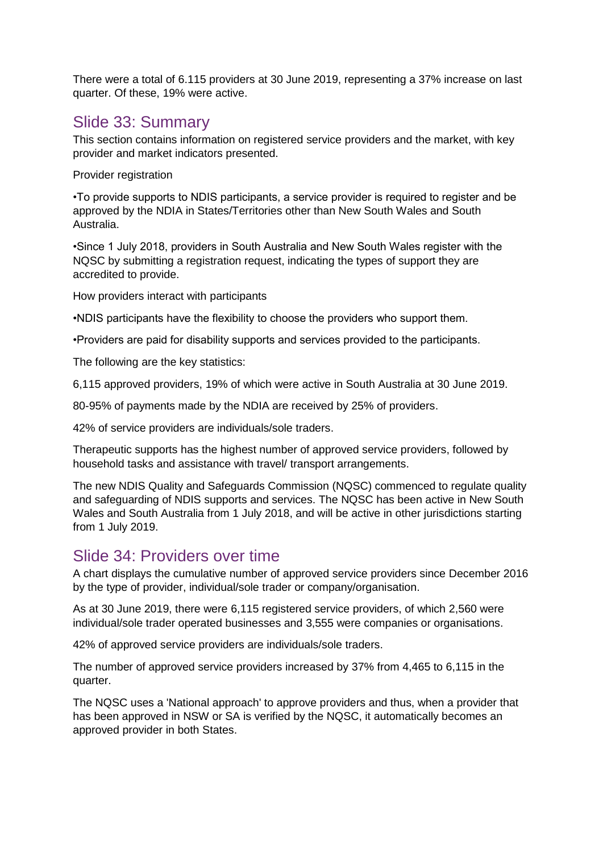There were a total of 6.115 providers at 30 June 2019, representing a 37% increase on last quarter. Of these, 19% were active.

#### Slide 33: Summary

This section contains information on registered service providers and the market, with key provider and market indicators presented.

Provider registration

•To provide supports to NDIS participants, a service provider is required to register and be approved by the NDIA in States/Territories other than New South Wales and South Australia.

•Since 1 July 2018, providers in South Australia and New South Wales register with the NQSC by submitting a registration request, indicating the types of support they are accredited to provide.

How providers interact with participants

•NDIS participants have the flexibility to choose the providers who support them.

•Providers are paid for disability supports and services provided to the participants.

The following are the key statistics:

6,115 approved providers, 19% of which were active in South Australia at 30 June 2019.

80-95% of payments made by the NDIA are received by 25% of providers.

42% of service providers are individuals/sole traders.

Therapeutic supports has the highest number of approved service providers, followed by household tasks and assistance with travel/ transport arrangements.

The new NDIS Quality and Safeguards Commission (NQSC) commenced to regulate quality and safeguarding of NDIS supports and services. The NQSC has been active in New South Wales and South Australia from 1 July 2018, and will be active in other jurisdictions starting from 1 July 2019.

## Slide 34: Providers over time

A chart displays the cumulative number of approved service providers since December 2016 by the type of provider, individual/sole trader or company/organisation.

As at 30 June 2019, there were 6,115 registered service providers, of which 2,560 were individual/sole trader operated businesses and 3,555 were companies or organisations.

42% of approved service providers are individuals/sole traders.

The number of approved service providers increased by 37% from 4,465 to 6,115 in the quarter.

The NQSC uses a 'National approach' to approve providers and thus, when a provider that has been approved in NSW or SA is verified by the NQSC, it automatically becomes an approved provider in both States.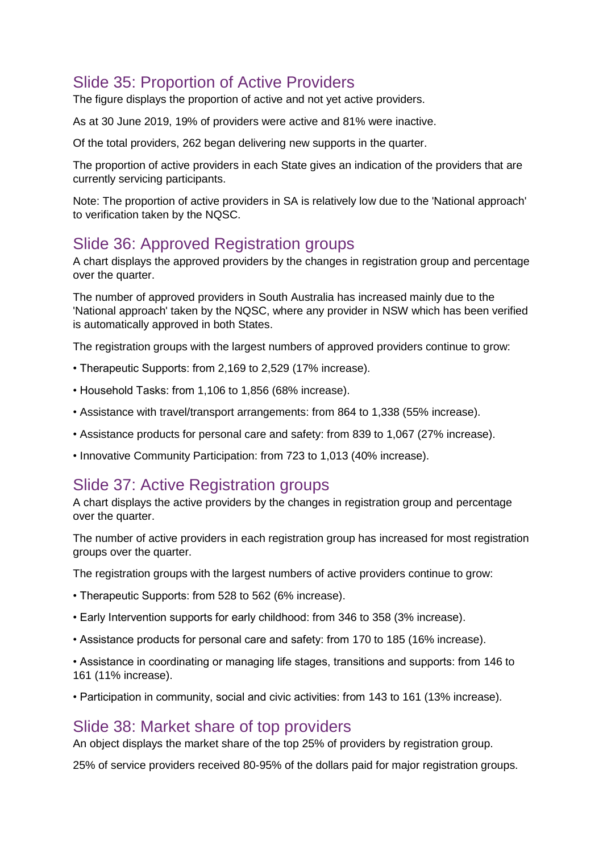# Slide 35: Proportion of Active Providers

The figure displays the proportion of active and not yet active providers.

As at 30 June 2019, 19% of providers were active and 81% were inactive.

Of the total providers, 262 began delivering new supports in the quarter.

The proportion of active providers in each State gives an indication of the providers that are currently servicing participants.

Note: The proportion of active providers in SA is relatively low due to the 'National approach' to verification taken by the NQSC.

### Slide 36: Approved Registration groups

A chart displays the approved providers by the changes in registration group and percentage over the quarter.

The number of approved providers in South Australia has increased mainly due to the 'National approach' taken by the NQSC, where any provider in NSW which has been verified is automatically approved in both States.

The registration groups with the largest numbers of approved providers continue to grow:

- Therapeutic Supports: from 2,169 to 2,529 (17% increase).
- Household Tasks: from 1,106 to 1,856 (68% increase).
- Assistance with travel/transport arrangements: from 864 to 1,338 (55% increase).
- Assistance products for personal care and safety: from 839 to 1,067 (27% increase).
- Innovative Community Participation: from 723 to 1,013 (40% increase).

#### Slide 37: Active Registration groups

A chart displays the active providers by the changes in registration group and percentage over the quarter.

The number of active providers in each registration group has increased for most registration groups over the quarter.

The registration groups with the largest numbers of active providers continue to grow:

- Therapeutic Supports: from 528 to 562 (6% increase).
- Early Intervention supports for early childhood: from 346 to 358 (3% increase).
- Assistance products for personal care and safety: from 170 to 185 (16% increase).

• Assistance in coordinating or managing life stages, transitions and supports: from 146 to 161 (11% increase).

• Participation in community, social and civic activities: from 143 to 161 (13% increase).

#### Slide 38: Market share of top providers

An object displays the market share of the top 25% of providers by registration group.

25% of service providers received 80-95% of the dollars paid for major registration groups.